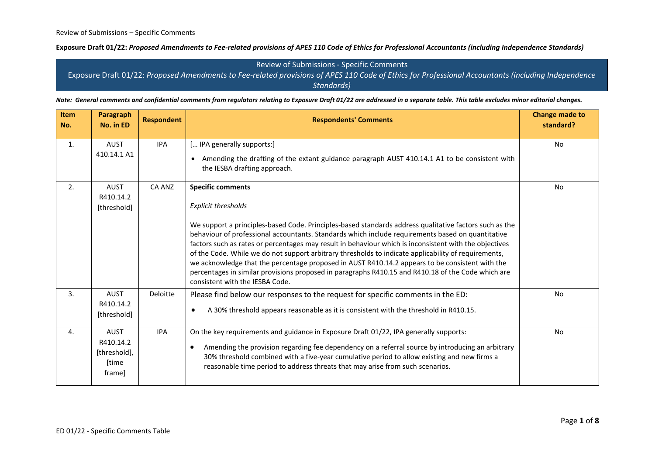Review of Submissions - Specific Comments Exposure Draft 01/22: *Proposed Amendments to Fee-related provisions of APES 110 Code of Ethics for Professional Accountants (including Independence Standards)*

*Note: General comments and confidential comments from regulators relating to Exposure Draft 01/22 are addressed in a separate table. This table excludes minor editorial changes.*

| <b>Item</b><br>No. | <b>Paragraph</b><br>No. in ED                               | <b>Respondent</b> | <b>Respondents' Comments</b>                                                                                                                                                                                                                                                                                                                                                                                                                                                                                                                                                                                                                                                                                                 | <b>Change made to</b><br>standard? |
|--------------------|-------------------------------------------------------------|-------------------|------------------------------------------------------------------------------------------------------------------------------------------------------------------------------------------------------------------------------------------------------------------------------------------------------------------------------------------------------------------------------------------------------------------------------------------------------------------------------------------------------------------------------------------------------------------------------------------------------------------------------------------------------------------------------------------------------------------------------|------------------------------------|
| 1.                 | <b>AUST</b><br>410.14.1 A1                                  | <b>IPA</b>        | [ IPA generally supports:]<br>• Amending the drafting of the extant guidance paragraph AUST 410.14.1 A1 to be consistent with<br>the IESBA drafting approach.                                                                                                                                                                                                                                                                                                                                                                                                                                                                                                                                                                | No                                 |
| 2.                 | <b>AUST</b><br>R410.14.2<br>[threshold]                     | CA ANZ            | <b>Specific comments</b><br>Explicit thresholds<br>We support a principles-based Code. Principles-based standards address qualitative factors such as the<br>behaviour of professional accountants. Standards which include requirements based on quantitative<br>factors such as rates or percentages may result in behaviour which is inconsistent with the objectives<br>of the Code. While we do not support arbitrary thresholds to indicate applicability of requirements,<br>we acknowledge that the percentage proposed in AUST R410.14.2 appears to be consistent with the<br>percentages in similar provisions proposed in paragraphs R410.15 and R410.18 of the Code which are<br>consistent with the IESBA Code. | <b>No</b>                          |
| 3.                 | <b>AUST</b><br>R410.14.2<br>[threshold]                     | Deloitte          | Please find below our responses to the request for specific comments in the ED:<br>A 30% threshold appears reasonable as it is consistent with the threshold in R410.15.<br>$\bullet$                                                                                                                                                                                                                                                                                                                                                                                                                                                                                                                                        | <b>No</b>                          |
| 4.                 | <b>AUST</b><br>R410.14.2<br>[threshold],<br>[time<br>frame] | <b>IPA</b>        | On the key requirements and guidance in Exposure Draft 01/22, IPA generally supports:<br>Amending the provision regarding fee dependency on a referral source by introducing an arbitrary<br>$\bullet$<br>30% threshold combined with a five-year cumulative period to allow existing and new firms a<br>reasonable time period to address threats that may arise from such scenarios.                                                                                                                                                                                                                                                                                                                                       | <b>No</b>                          |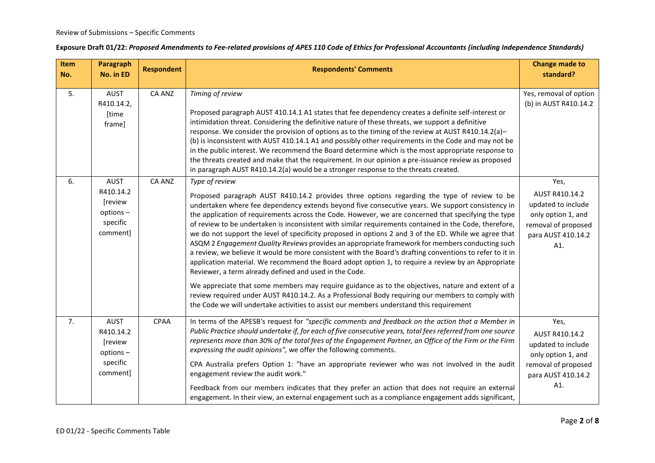| Item<br>No. | <b>Paragraph</b><br>No. in ED                                           | <b>Respondent</b> | <b>Respondents' Comments</b>                                                                                                                                                                                                                                                                                                                                                                                                                                                                                                                                                                                                                                                                                                                                                                                                                                                                                                                                                                                                                                                                                                                                                                                                    | <b>Change made to</b><br>standard?                                                                                     |
|-------------|-------------------------------------------------------------------------|-------------------|---------------------------------------------------------------------------------------------------------------------------------------------------------------------------------------------------------------------------------------------------------------------------------------------------------------------------------------------------------------------------------------------------------------------------------------------------------------------------------------------------------------------------------------------------------------------------------------------------------------------------------------------------------------------------------------------------------------------------------------------------------------------------------------------------------------------------------------------------------------------------------------------------------------------------------------------------------------------------------------------------------------------------------------------------------------------------------------------------------------------------------------------------------------------------------------------------------------------------------|------------------------------------------------------------------------------------------------------------------------|
| 5.          | <b>AUST</b><br>R410.14.2,<br>[time<br>frame]                            | <b>CA ANZ</b>     | Timing of review<br>Proposed paragraph AUST 410.14.1 A1 states that fee dependency creates a definite self-interest or<br>intimidation threat. Considering the definitive nature of these threats, we support a definitive<br>response. We consider the provision of options as to the timing of the review at AUST R410.14.2(a)-<br>(b) is inconsistent with AUST 410.14.1 A1 and possibly other requirements in the Code and may not be<br>in the public interest. We recommend the Board determine which is the most appropriate response to<br>the threats created and make that the requirement. In our opinion a pre-issuance review as proposed<br>in paragraph AUST R410.14.2(a) would be a stronger response to the threats created.                                                                                                                                                                                                                                                                                                                                                                                                                                                                                   | Yes, removal of option<br>(b) in AUST R410.14.2                                                                        |
| 6.          | <b>AUST</b><br>R410.14.2<br>[review<br>options-<br>specific<br>comment] | <b>CA ANZ</b>     | Type of review<br>Proposed paragraph AUST R410.14.2 provides three options regarding the type of review to be<br>undertaken where fee dependency extends beyond five consecutive years. We support consistency in<br>the application of requirements across the Code. However, we are concerned that specifying the type<br>of review to be undertaken is inconsistent with similar requirements contained in the Code, therefore,<br>we do not support the level of specificity proposed in options 2 and 3 of the ED. While we agree that<br>ASQM 2 Engagement Quality Reviews provides an appropriate framework for members conducting such<br>a review, we believe it would be more consistent with the Board's drafting conventions to refer to it in<br>application material. We recommend the Board adopt option 1, to require a review by an Appropriate<br>Reviewer, a term already defined and used in the Code.<br>We appreciate that some members may require guidance as to the objectives, nature and extent of a<br>review required under AUST R410.14.2. As a Professional Body requiring our members to comply with<br>the Code we will undertake activities to assist our members understand this requirement | Yes,<br>AUST R410.14.2<br>updated to include<br>only option 1, and<br>removal of proposed<br>para AUST 410.14.2<br>A1. |
| 7.          | <b>AUST</b><br>R410.14.2<br>[review<br>options-<br>specific<br>comment] | <b>CPAA</b>       | In terms of the APESB's request for "specific comments and feedback on the action that a Member in<br>Public Practice should undertake if, for each of five consecutive years, total fees referred from one source<br>represents more than 30% of the total fees of the Engagement Partner, an Office of the Firm or the Firm<br>expressing the audit opinions", we offer the following comments.<br>CPA Australia prefers Option 1: "have an appropriate reviewer who was not involved in the audit<br>engagement review the audit work."<br>Feedback from our members indicates that they prefer an action that does not require an external<br>engagement. In their view, an external engagement such as a compliance engagement adds significant,                                                                                                                                                                                                                                                                                                                                                                                                                                                                           | Yes,<br>AUST R410.14.2<br>updated to include<br>only option 1, and<br>removal of proposed<br>para AUST 410.14.2<br>A1. |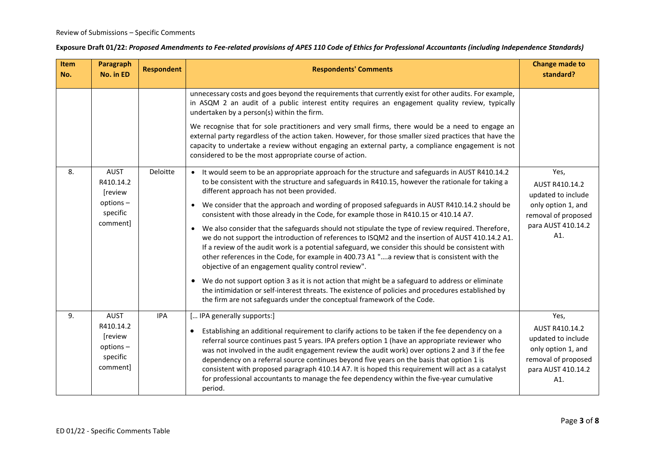| Item<br>No. | Paragraph<br>No. in ED                                           | <b>Respondent</b> | <b>Respondents' Comments</b>                                                                                                                                                                                                                                                                                                                                                                                                                                                                                                                                                                                                                               | <b>Change made to</b><br>standard?                                                                                     |
|-------------|------------------------------------------------------------------|-------------------|------------------------------------------------------------------------------------------------------------------------------------------------------------------------------------------------------------------------------------------------------------------------------------------------------------------------------------------------------------------------------------------------------------------------------------------------------------------------------------------------------------------------------------------------------------------------------------------------------------------------------------------------------------|------------------------------------------------------------------------------------------------------------------------|
|             |                                                                  |                   | unnecessary costs and goes beyond the requirements that currently exist for other audits. For example,<br>in ASQM 2 an audit of a public interest entity requires an engagement quality review, typically<br>undertaken by a person(s) within the firm.                                                                                                                                                                                                                                                                                                                                                                                                    |                                                                                                                        |
|             |                                                                  |                   | We recognise that for sole practitioners and very small firms, there would be a need to engage an<br>external party regardless of the action taken. However, for those smaller sized practices that have the<br>capacity to undertake a review without engaging an external party, a compliance engagement is not<br>considered to be the most appropriate course of action.                                                                                                                                                                                                                                                                               |                                                                                                                        |
| 8.          | AUST<br>R410.14.2<br>[review                                     | Deloitte          | • It would seem to be an appropriate approach for the structure and safeguards in AUST R410.14.2<br>to be consistent with the structure and safeguards in R410.15, however the rationale for taking a<br>different approach has not been provided.                                                                                                                                                                                                                                                                                                                                                                                                         | Yes,<br>AUST R410.14.2<br>updated to include                                                                           |
|             | options-<br>specific                                             |                   | • We consider that the approach and wording of proposed safeguards in AUST R410.14.2 should be<br>consistent with those already in the Code, for example those in R410.15 or 410.14 A7.                                                                                                                                                                                                                                                                                                                                                                                                                                                                    | only option 1, and<br>removal of proposed                                                                              |
|             | comment]                                                         |                   | • We also consider that the safeguards should not stipulate the type of review required. Therefore,<br>we do not support the introduction of references to ISQM2 and the insertion of AUST 410.14.2 A1.<br>If a review of the audit work is a potential safeguard, we consider this should be consistent with<br>other references in the Code, for example in 400.73 A1 "a review that is consistent with the<br>objective of an engagement quality control review".                                                                                                                                                                                       | para AUST 410.14.2<br>A1.                                                                                              |
|             |                                                                  |                   | • We do not support option 3 as it is not action that might be a safeguard to address or eliminate<br>the intimidation or self-interest threats. The existence of policies and procedures established by<br>the firm are not safeguards under the conceptual framework of the Code.                                                                                                                                                                                                                                                                                                                                                                        |                                                                                                                        |
| 9.          | AUST<br>R410.14.2<br>[review<br>options-<br>specific<br>comment] | <b>IPA</b>        | [ IPA generally supports:]<br>Establishing an additional requirement to clarify actions to be taken if the fee dependency on a<br>$\bullet$<br>referral source continues past 5 years. IPA prefers option 1 (have an appropriate reviewer who<br>was not involved in the audit engagement review the audit work) over options 2 and 3 if the fee<br>dependency on a referral source continues beyond five years on the basis that option 1 is<br>consistent with proposed paragraph 410.14 A7. It is hoped this requirement will act as a catalyst<br>for professional accountants to manage the fee dependency within the five-year cumulative<br>period. | Yes,<br>AUST R410.14.2<br>updated to include<br>only option 1, and<br>removal of proposed<br>para AUST 410.14.2<br>A1. |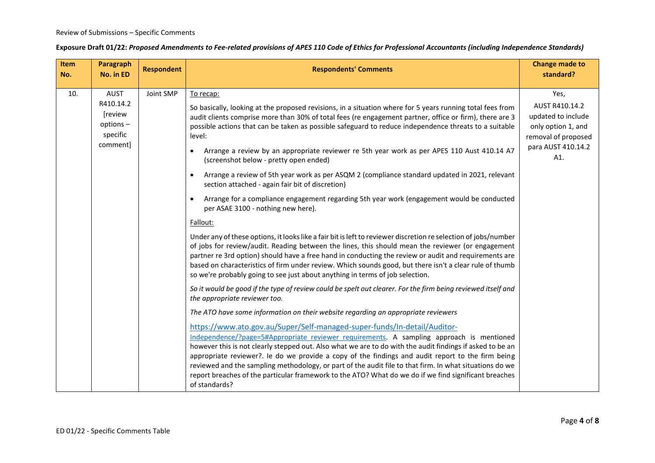#### Review of Submissions – Specific Comments

| Item<br>No. | Paragraph<br>No. in ED                                                  | <b>Respondent</b> | <b>Respondents' Comments</b>                                                                                                                                                                                                                                                                                                                                                                                                                                                                                                                                                                                                                                                                                                                                                                                                                                                                                                                                                                                                                                                                                                                                                                                                                                                                                                                                                                                                                                                                                                                                                                                                                                                                                                                                                                                                                                                                                                                                                                                                                                                                                                                                                                                                                 | <b>Change made to</b><br>standard?                                                                                     |
|-------------|-------------------------------------------------------------------------|-------------------|----------------------------------------------------------------------------------------------------------------------------------------------------------------------------------------------------------------------------------------------------------------------------------------------------------------------------------------------------------------------------------------------------------------------------------------------------------------------------------------------------------------------------------------------------------------------------------------------------------------------------------------------------------------------------------------------------------------------------------------------------------------------------------------------------------------------------------------------------------------------------------------------------------------------------------------------------------------------------------------------------------------------------------------------------------------------------------------------------------------------------------------------------------------------------------------------------------------------------------------------------------------------------------------------------------------------------------------------------------------------------------------------------------------------------------------------------------------------------------------------------------------------------------------------------------------------------------------------------------------------------------------------------------------------------------------------------------------------------------------------------------------------------------------------------------------------------------------------------------------------------------------------------------------------------------------------------------------------------------------------------------------------------------------------------------------------------------------------------------------------------------------------------------------------------------------------------------------------------------------------|------------------------------------------------------------------------------------------------------------------------|
| 10.         | <b>AUST</b><br>R410.14.2<br>[review<br>options-<br>specific<br>comment] | Joint SMP         | To recap:<br>So basically, looking at the proposed revisions, in a situation where for 5 years running total fees from<br>audit clients comprise more than 30% of total fees (re engagement partner, office or firm), there are 3<br>possible actions that can be taken as possible safeguard to reduce independence threats to a suitable<br>level:<br>Arrange a review by an appropriate reviewer re 5th year work as per APES 110 Aust 410.14 A7<br>$\bullet$<br>(screenshot below - pretty open ended)<br>Arrange a review of 5th year work as per ASQM 2 (compliance standard updated in 2021, relevant<br>$\bullet$<br>section attached - again fair bit of discretion)<br>Arrange for a compliance engagement regarding 5th year work (engagement would be conducted<br>$\bullet$<br>per ASAE 3100 - nothing new here).<br>Fallout:<br>Under any of these options, it looks like a fair bit is left to reviewer discretion re selection of jobs/number<br>of jobs for review/audit. Reading between the lines, this should mean the reviewer (or engagement<br>partner re 3rd option) should have a free hand in conducting the review or audit and requirements are<br>based on characteristics of firm under review. Which sounds good, but there isn't a clear rule of thumb<br>so we're probably going to see just about anything in terms of job selection.<br>So it would be good if the type of review could be spelt out clearer. For the firm being reviewed itself and<br>the appropriate reviewer too.<br>The ATO have some information on their website regarding an appropriate reviewers<br>https://www.ato.gov.au/Super/Self-managed-super-funds/In-detail/Auditor-<br>Independence/?page=5#Appropriate reviewer requirements. A sampling approach is mentioned<br>however this is not clearly stepped out. Also what we are to do with the audit findings if asked to be an<br>appropriate reviewer?. Ie do we provide a copy of the findings and audit report to the firm being<br>reviewed and the sampling methodology, or part of the audit file to that firm. In what situations do we<br>report breaches of the particular framework to the ATO? What do we do if we find significant breaches<br>of standards? | Yes,<br>AUST R410.14.2<br>updated to include<br>only option 1, and<br>removal of proposed<br>para AUST 410.14.2<br>A1. |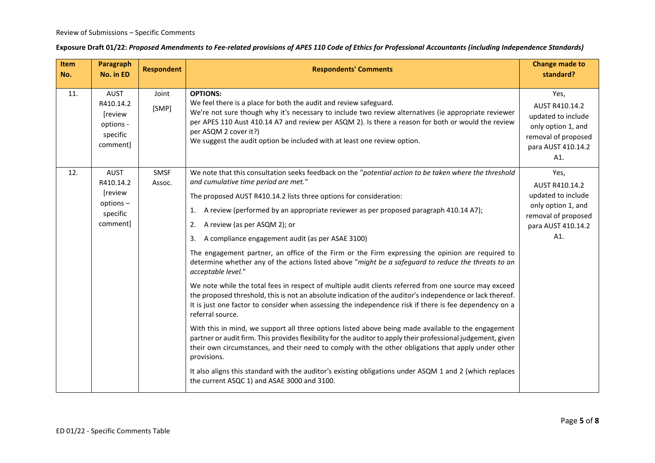| Item<br>No. | Paragraph<br>No. in ED                                              | <b>Respondent</b> | <b>Respondents' Comments</b>                                                                                                                                                                                                                                                                                                                                                                                                                                                                                                                                                                                                                                                                                                                                                                                                                                                                                                                                                                                                                                                                                                                                                                                                                                                                                                                          | <b>Change made to</b><br>standard?                                                                                     |
|-------------|---------------------------------------------------------------------|-------------------|-------------------------------------------------------------------------------------------------------------------------------------------------------------------------------------------------------------------------------------------------------------------------------------------------------------------------------------------------------------------------------------------------------------------------------------------------------------------------------------------------------------------------------------------------------------------------------------------------------------------------------------------------------------------------------------------------------------------------------------------------------------------------------------------------------------------------------------------------------------------------------------------------------------------------------------------------------------------------------------------------------------------------------------------------------------------------------------------------------------------------------------------------------------------------------------------------------------------------------------------------------------------------------------------------------------------------------------------------------|------------------------------------------------------------------------------------------------------------------------|
| 11.         | AUST<br>R410.14.2<br>[review<br>options -<br>specific<br>comment]   | Joint<br>[SMP]    | <b>OPTIONS:</b><br>We feel there is a place for both the audit and review safeguard.<br>We're not sure though why it's necessary to include two review alternatives (ie appropriate reviewer<br>per APES 110 Aust 410.14 A7 and review per ASQM 2). Is there a reason for both or would the review<br>per ASQM 2 cover it?)<br>We suggest the audit option be included with at least one review option.                                                                                                                                                                                                                                                                                                                                                                                                                                                                                                                                                                                                                                                                                                                                                                                                                                                                                                                                               | Yes,<br>AUST R410.14.2<br>updated to include<br>only option 1, and<br>removal of proposed<br>para AUST 410.14.2<br>A1. |
| 12.         | AUST<br>R410.14.2<br>[review<br>$options -$<br>specific<br>comment] | SMSF<br>Assoc.    | We note that this consultation seeks feedback on the "potential action to be taken where the threshold<br>and cumulative time period are met."<br>The proposed AUST R410.14.2 lists three options for consideration:<br>A review (performed by an appropriate reviewer as per proposed paragraph 410.14 A7);<br>1.<br>A review (as per ASQM 2); or<br>2.<br>A compliance engagement audit (as per ASAE 3100)<br>3.<br>The engagement partner, an office of the Firm or the Firm expressing the opinion are required to<br>determine whether any of the actions listed above "might be a safeguard to reduce the threats to an<br>acceptable level."<br>We note while the total fees in respect of multiple audit clients referred from one source may exceed<br>the proposed threshold, this is not an absolute indication of the auditor's independence or lack thereof.<br>It is just one factor to consider when assessing the independence risk if there is fee dependency on a<br>referral source.<br>With this in mind, we support all three options listed above being made available to the engagement<br>partner or audit firm. This provides flexibility for the auditor to apply their professional judgement, given<br>their own circumstances, and their need to comply with the other obligations that apply under other<br>provisions. | Yes,<br>AUST R410.14.2<br>updated to include<br>only option 1, and<br>removal of proposed<br>para AUST 410.14.2<br>A1. |
|             |                                                                     |                   | It also aligns this standard with the auditor's existing obligations under ASQM 1 and 2 (which replaces<br>the current ASQC 1) and ASAE 3000 and 3100.                                                                                                                                                                                                                                                                                                                                                                                                                                                                                                                                                                                                                                                                                                                                                                                                                                                                                                                                                                                                                                                                                                                                                                                                |                                                                                                                        |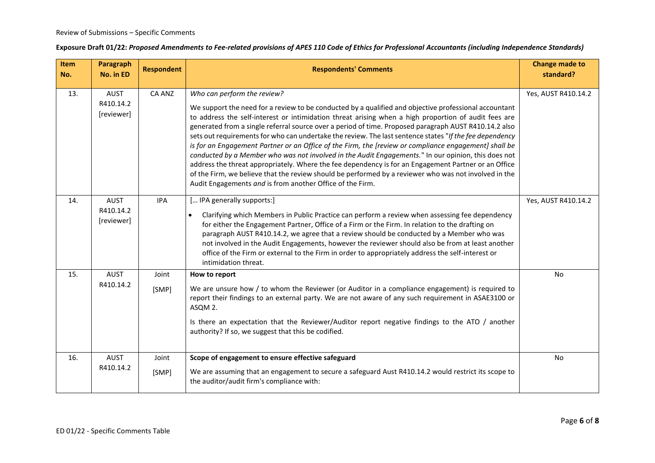| Item<br>No. | <b>Paragraph</b><br>No. in ED          | <b>Respondent</b> | <b>Respondents' Comments</b>                                                                                                                                                                                                                                                                                                                                                                                                                                                                                                                                                                                                                                                                                                                                                                                                                                                                                                                                   | <b>Change made to</b><br>standard? |
|-------------|----------------------------------------|-------------------|----------------------------------------------------------------------------------------------------------------------------------------------------------------------------------------------------------------------------------------------------------------------------------------------------------------------------------------------------------------------------------------------------------------------------------------------------------------------------------------------------------------------------------------------------------------------------------------------------------------------------------------------------------------------------------------------------------------------------------------------------------------------------------------------------------------------------------------------------------------------------------------------------------------------------------------------------------------|------------------------------------|
| 13.         | AUST<br>R410.14.2<br>[reviewer]        | CA ANZ            | Who can perform the review?<br>We support the need for a review to be conducted by a qualified and objective professional accountant<br>to address the self-interest or intimidation threat arising when a high proportion of audit fees are<br>generated from a single referral source over a period of time. Proposed paragraph AUST R410.14.2 also<br>sets out requirements for who can undertake the review. The last sentence states "If the fee dependency<br>is for an Engagement Partner or an Office of the Firm, the [review or compliance engagement] shall be<br>conducted by a Member who was not involved in the Audit Engagements." In our opinion, this does not<br>address the threat appropriately. Where the fee dependency is for an Engagement Partner or an Office<br>of the Firm, we believe that the review should be performed by a reviewer who was not involved in the<br>Audit Engagements and is from another Office of the Firm. | Yes, AUST R410.14.2                |
| 14.         | <b>AUST</b><br>R410.14.2<br>[reviewer] | <b>IPA</b>        | [ IPA generally supports:]<br>Clarifying which Members in Public Practice can perform a review when assessing fee dependency<br>$\bullet$<br>for either the Engagement Partner, Office of a Firm or the Firm. In relation to the drafting on<br>paragraph AUST R410.14.2, we agree that a review should be conducted by a Member who was<br>not involved in the Audit Engagements, however the reviewer should also be from at least another<br>office of the Firm or external to the Firm in order to appropriately address the self-interest or<br>intimidation threat.                                                                                                                                                                                                                                                                                                                                                                                      | Yes, AUST R410.14.2                |
| 15.         | <b>AUST</b><br>R410.14.2               | Joint<br>[SMP]    | How to report<br>We are unsure how / to whom the Reviewer (or Auditor in a compliance engagement) is required to<br>report their findings to an external party. We are not aware of any such requirement in ASAE3100 or<br>ASQM 2.<br>Is there an expectation that the Reviewer/Auditor report negative findings to the ATO / another<br>authority? If so, we suggest that this be codified.                                                                                                                                                                                                                                                                                                                                                                                                                                                                                                                                                                   | No                                 |
| 16.         | <b>AUST</b><br>R410.14.2               | Joint<br>[SMP]    | Scope of engagement to ensure effective safeguard<br>We are assuming that an engagement to secure a safeguard Aust R410.14.2 would restrict its scope to<br>the auditor/audit firm's compliance with:                                                                                                                                                                                                                                                                                                                                                                                                                                                                                                                                                                                                                                                                                                                                                          | No                                 |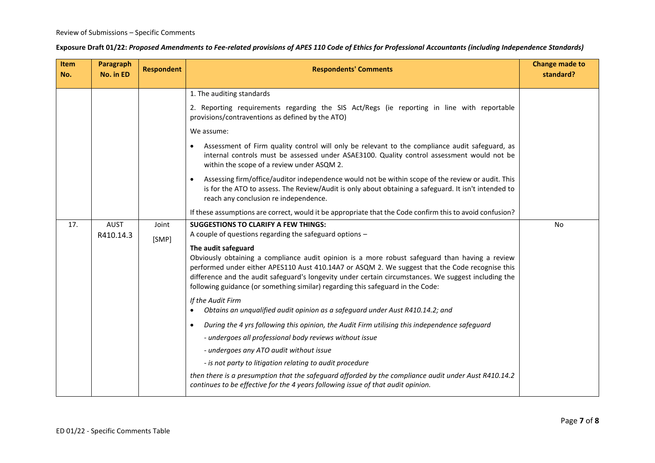| Item<br>No. | Paragraph<br>No. in ED   | <b>Respondent</b> | <b>Respondents' Comments</b>                                                                                                                                                                                                                                                                                                                                                                                        | <b>Change made to</b><br>standard? |
|-------------|--------------------------|-------------------|---------------------------------------------------------------------------------------------------------------------------------------------------------------------------------------------------------------------------------------------------------------------------------------------------------------------------------------------------------------------------------------------------------------------|------------------------------------|
|             |                          |                   | 1. The auditing standards                                                                                                                                                                                                                                                                                                                                                                                           |                                    |
|             |                          |                   | 2. Reporting requirements regarding the SIS Act/Regs (ie reporting in line with reportable<br>provisions/contraventions as defined by the ATO)                                                                                                                                                                                                                                                                      |                                    |
|             |                          |                   | We assume:                                                                                                                                                                                                                                                                                                                                                                                                          |                                    |
|             |                          |                   | Assessment of Firm quality control will only be relevant to the compliance audit safeguard, as<br>internal controls must be assessed under ASAE3100. Quality control assessment would not be<br>within the scope of a review under ASQM 2.                                                                                                                                                                          |                                    |
|             |                          |                   | Assessing firm/office/auditor independence would not be within scope of the review or audit. This<br>$\bullet$<br>is for the ATO to assess. The Review/Audit is only about obtaining a safeguard. It isn't intended to<br>reach any conclusion re independence.                                                                                                                                                     |                                    |
|             |                          |                   | If these assumptions are correct, would it be appropriate that the Code confirm this to avoid confusion?                                                                                                                                                                                                                                                                                                            |                                    |
| 17.         | <b>AUST</b><br>R410.14.3 | Joint<br>[SMP]    | <b>SUGGESTIONS TO CLARIFY A FEW THINGS:</b><br>A couple of questions regarding the safeguard options -                                                                                                                                                                                                                                                                                                              | No                                 |
|             |                          |                   | The audit safeguard<br>Obviously obtaining a compliance audit opinion is a more robust safeguard than having a review<br>performed under either APES110 Aust 410.14A7 or ASQM 2. We suggest that the Code recognise this<br>difference and the audit safeguard's longevity under certain circumstances. We suggest including the<br>following guidance (or something similar) regarding this safeguard in the Code: |                                    |
|             |                          |                   | If the Audit Firm<br>Obtains an unqualified audit opinion as a safeguard under Aust R410.14.2; and<br>$\bullet$                                                                                                                                                                                                                                                                                                     |                                    |
|             |                          |                   | During the 4 yrs following this opinion, the Audit Firm utilising this independence safeguard<br>$\bullet$                                                                                                                                                                                                                                                                                                          |                                    |
|             |                          |                   | - undergoes all professional body reviews without issue                                                                                                                                                                                                                                                                                                                                                             |                                    |
|             |                          |                   | - undergoes any ATO audit without issue                                                                                                                                                                                                                                                                                                                                                                             |                                    |
|             |                          |                   | - is not party to litigation relating to audit procedure                                                                                                                                                                                                                                                                                                                                                            |                                    |
|             |                          |                   | then there is a presumption that the safeguard afforded by the compliance audit under Aust R410.14.2<br>continues to be effective for the 4 years following issue of that audit opinion.                                                                                                                                                                                                                            |                                    |